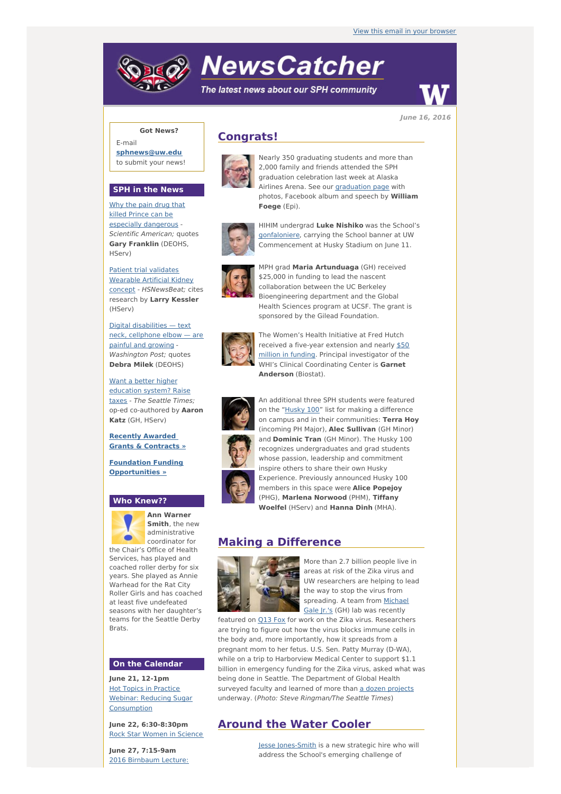# **NewsCatcher**

The latest news about our SPH community



**June 16, 2016**

# **Got News?**

E-mail **[sphnews@uw.edu](mailto:sphnews@uw.edu)** to submit your news!

### **SPH in the News**

Why the pain drug that killed Prince can be especially [dangerous](http://engage.washington.edu/site/R?i=WTcDlBozBJ2zZjePfpcjhQ) - Scientific American; quotes **Gary Franklin** (DEOHS, HServ)

Patient trial validates Wearable Artificial Kidney concept - [HSNewsBeat;](http://engage.washington.edu/site/R?i=SuyQ_C9G3Je-xEWyKQVP3g) cites research by **Larry Kessler** (HServ)

Digital [disabilities](http://engage.washington.edu/site/R?i=YOvvk9e3QGVy-o5wev5URA) — text neck, cellphone elbow — are painful and growing - Washington Post; quotes **Debra Milek** (DEOHS)

Want a better higher [education](http://engage.washington.edu/site/R?i=vxudQJPbjdhMedsRh8OrqQ) system? Raise taxes - The Seattle Times; op-ed co-authored by **Aaron Katz** (GH, HServ)

**Recently Awarded Grants & [Contracts](http://engage.washington.edu/site/R?i=eJzV_ZFI6vDE79R8dKBzLQ) »**

**Foundation Funding [Opportunities](http://engage.washington.edu/site/R?i=q7eobsv9eq1VQKhTsIl4lQ) »**

## **Who Knew??**



**Ann Warner Smith**, the new administrative coordinator for

the Chair's Office of Health Services, has played and coached roller derby for six years. She played as Annie Warhead for the Rat City Roller Girls and has coached at least five undefeated seasons with her daughter's teams for the Seattle Derby **Brats** 

#### **On the Calendar**

**June 21, 12-1pm** Hot Topics in Practice Webinar: Reducing Sugar [Consumption](http://engage.washington.edu/site/R?i=i8LzNyiVJl3rjEXK_XdpBQ)

**June 22, 6:30-8:30pm** Rock Star Women in [Science](http://engage.washington.edu/site/R?i=vUuXFChQNd7Y99UrdxSbbA)

**June 27, 7:15-9am** 2016 Birnbaum Lecture:

# **Congrats!**



Nearly 350 graduating students and more than 2,000 family and friends attended the SPH graduation celebration last week at Alaska Airlines Arena. See our **[graduation](http://engage.washington.edu/site/R?i=6mfZRhlgzFuIziI-kiJa5w) page** with photos, Facebook album and speech by **William Foege** (Epi).



HIHIM undergrad **Luke Nishiko** was the School's [gonfaloniere](http://engage.washington.edu/site/R?i=GL7vd6KIBOYZec1oX1kUlQ), carrying the School banner at UW Commencement at Husky Stadium on June 11.



MPH grad **Maria Artunduaga** (GH) received \$25,000 in funding to lead the nascent collaboration between the UC Berkeley Bioengineering department and the Global Health Sciences program at UCSF. The grant is sponsored by the Gilead Foundation.



The Women's Health Initiative at Fred Hutch received a five-year extension and nearly \$50 million in funding. Principal [investigator](http://engage.washington.edu/site/R?i=1Xeme3CBqzvhoH2Yt9Bfng) of the WHI's Clinical Coordinating Center is **Garnet Anderson** (Biostat).



An additional three SPH students were featured on the ["Husky](http://engage.washington.edu/site/R?i=MzCF0AXddptwbFW0RVOrhw) 100" list for making a difference on campus and in their communities: **Terra Hoy** (incoming PH Major), **Alec Sullivan** (GH Minor) and **Dominic Tran** (GH Minor). The Husky 100 recognizes undergraduates and grad students whose passion, leadership and commitment inspire others to share their own Husky Experience. Previously announced Husky 100 members in this space were **Alice Popejoy** (PHG), **Marlena Norwood** (PHM), **Tiffany Woelfel** (HServ) and **Hanna Dinh** (MHA).

## **Making a Difference**



More than 2.7 billion people live in areas at risk of the Zika virus and UW researchers are helping to lead the way to stop the virus from [spreading](http://engage.washington.edu/site/R?i=ywKbAm_N7b9RbEOdoMTVLQ). A team from Michael Gale Jr.'s (GH) lab was recently

featured on [Q13](http://engage.washington.edu/site/R?i=BCJoM-eo48UeC0k24gjS-A) Fox for work on the Zika virus. Researchers are trying to figure out how the virus blocks immune cells in the body and, more importantly, how it spreads from a pregnant mom to her fetus. U.S. Sen. Patty Murray (D-WA), while on a trip to Harborview Medical Center to support \$1.1 billion in emergency funding for the Zika virus, asked what was being done in Seattle. The Department of Global Health surveyed faculty and learned of more than a dozen [projects](http://engage.washington.edu/site/R?i=HovGYFkpc7BFbmUgp899kQ) underway. (Photo: Steve Ringman/The Seattle Times)

# **Around the Water Cooler**

Jesse [Jones-Smith](http://engage.washington.edu/site/R?i=Xd-1G9F-A8cFIOgV2HrNdQ) is a new strategic hire who will address the School's emerging challenge of